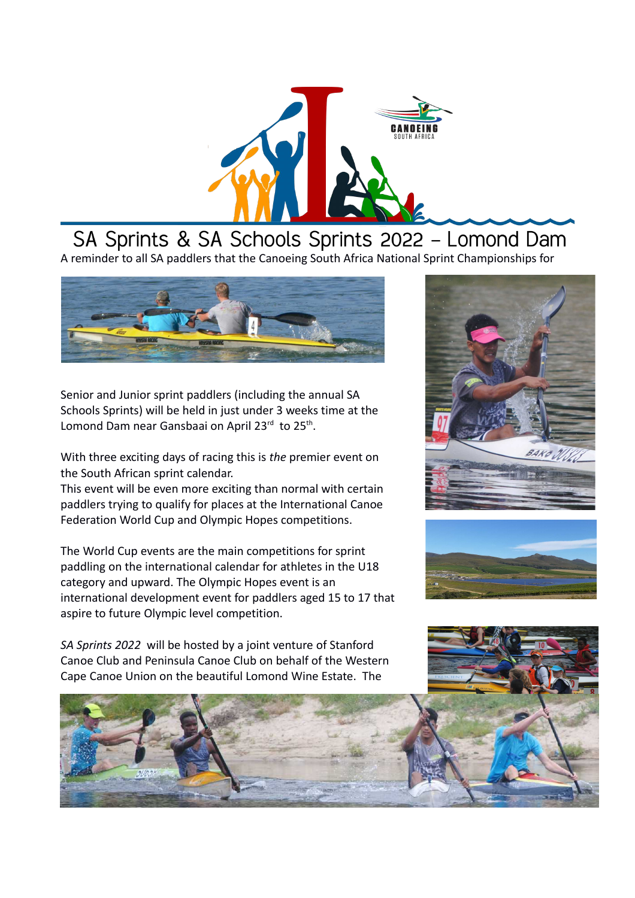

## SA Sprints & SA Schools Sprints 2022 - Lomond Dam A reminder to all SA paddlers that the Canoeing South Africa National Sprint Championships for



Senior and Junior sprint paddlers (including the annual SA Schools Sprints) will be held in just under 3 weeks time at the Lomond Dam near Gansbaai on April 23 $^{\text{rd}}$  to 25<sup>th</sup>.

With three exciting days of racing this is *the* premier event on the South African sprint calendar.

This event will be even more exciting than normal with certain paddlers trying to qualify for places at the International Canoe Federation World Cup and Olympic Hopes competitions.

The World Cup events are the main competitions for sprint paddling on the international calendar for athletes in the U18 category and upward. The Olympic Hopes event is an international development event for paddlers aged 15 to 17 that aspire to future Olympic level competition.

*SA Sprints 2022* will be hosted by a joint venture of Stanford Canoe Club and Peninsula Canoe Club on behalf of the Western Cape Canoe Union on the beautiful Lomond Wine Estate. The





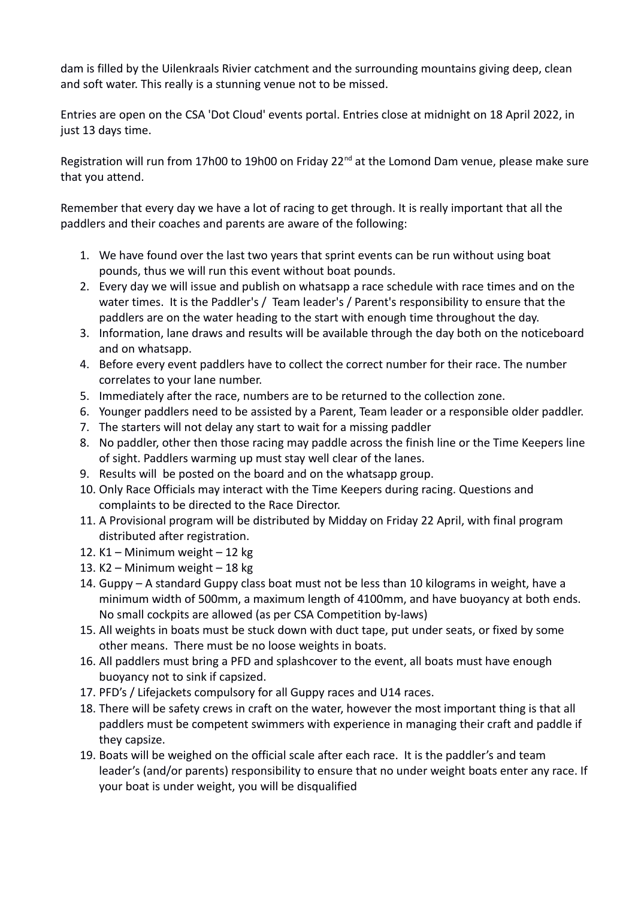dam is filled by the Uilenkraals Rivier catchment and the surrounding mountains giving deep, clean and soft water. This really is a stunning venue not to be missed.

Entries are open on the CSA 'Dot Cloud' events portal. Entries close at midnight on 18 April 2022, in just 13 days time.

Registration will run from 17h00 to 19h00 on Friday 22<sup>nd</sup> at the Lomond Dam venue, please make sure that you attend.

Remember that every day we have a lot of racing to get through. It is really important that all the paddlers and their coaches and parents are aware of the following:

- 1. We have found over the last two years that sprint events can be run without using boat pounds, thus we will run this event without boat pounds.
- 2. Every day we will issue and publish on whatsapp a race schedule with race times and on the water times. It is the Paddler's / Team leader's / Parent's responsibility to ensure that the paddlers are on the water heading to the start with enough time throughout the day.
- 3. Information, lane draws and results will be available through the day both on the noticeboard and on whatsapp.
- 4. Before every event paddlers have to collect the correct number for their race. The number correlates to your lane number.
- 5. Immediately after the race, numbers are to be returned to the collection zone.
- 6. Younger paddlers need to be assisted by a Parent, Team leader or a responsible older paddler.
- 7. The starters will not delay any start to wait for a missing paddler
- 8. No paddler, other then those racing may paddle across the finish line or the Time Keepers line of sight. Paddlers warming up must stay well clear of the lanes.
- 9. Results will be posted on the board and on the whatsapp group.
- 10. Only Race Officials may interact with the Time Keepers during racing. Questions and complaints to be directed to the Race Director.
- 11. A Provisional program will be distributed by Midday on Friday 22 April, with final program distributed after registration.
- 12. K1 Minimum weight 12 kg
- 13. K2 Minimum weight 18 kg
- 14. Guppy A standard Guppy class boat must not be less than 10 kilograms in weight, have a minimum width of 500mm, a maximum length of 4100mm, and have buoyancy at both ends. No small cockpits are allowed (as per CSA Competition by-laws)
- 15. All weights in boats must be stuck down with duct tape, put under seats, or fixed by some other means. There must be no loose weights in boats.
- 16. All paddlers must bring a PFD and splashcover to the event, all boats must have enough buoyancy not to sink if capsized.
- 17. PFD's / Lifejackets compulsory for all Guppy races and U14 races.
- 18. There will be safety crews in craft on the water, however the most important thing is that all paddlers must be competent swimmers with experience in managing their craft and paddle if they capsize.
- 19. Boats will be weighed on the official scale after each race. It is the paddler's and team leader's (and/or parents) responsibility to ensure that no under weight boats enter any race. If your boat is under weight, you will be disqualified